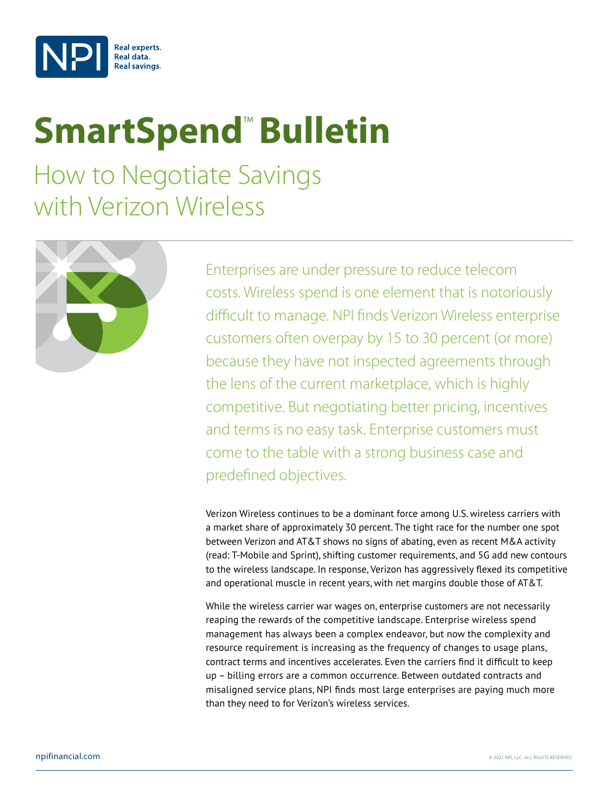

# **SmartSpend<sup>™</sup> Bulletin**

How to Negotiate Savings with Verizon Wireless



Enterprises are under pressure to reduce telecom costs. Wireless spend is one element that is notoriously difficult to manage. NPI finds Verizon Wireless enterprise customers often overpay by 15 to 30 percent (or more) because they have not inspected agreements through the lens of the current marketplace, which is highly competitive. But negotiating better pricing, incentives and terms is no easy task. Enterprise customers must come to the table with a strong business case and predefined objectives.

Verizon Wireless continues to be a dominant force among U.S. wireless carriers with a market share of approximately 30 percent. The tight race for the number one spot between Verizon and AT&T shows no signs of abating, even as recent M&A activity (read: T-Mobile and Sprint), shifting customer requirements, and 5G add new contours to the wireless landscape. In response, Verizon has aggressively flexed its competitive and operational muscle in recent years, with net margins double those of AT&T.

While the wireless carrier war wages on, enterprise customers are not necessarily reaping the rewards of the competitive landscape. Enterprise wireless spend management has always been a complex endeavor, but now the complexity and resource requirement is increasing as the frequency of changes to usage plans, contract terms and incentives accelerates. Even the carriers find it difficult to keep up – billing errors are a common occurrence. Between outdated contracts and misaligned service plans, NPI finds most large enterprises are paying much more than they need to for Verizon's wireless services.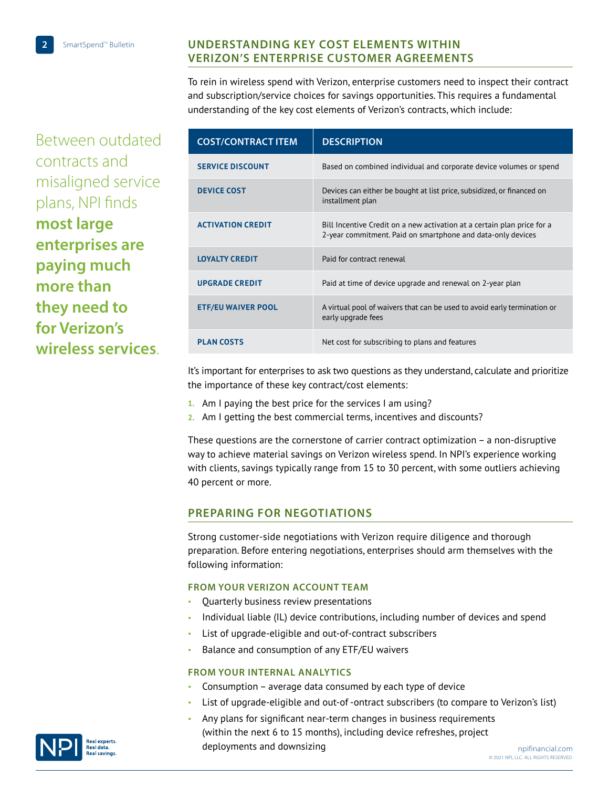## **Understanding Key Cost Elements Within Verizon's Enterprise Customer Agreements**

To rein in wireless spend with Verizon, enterprise customers need to inspect their contract and subscription/service choices for savings opportunities. This requires a fundamental understanding of the key cost elements of Verizon's contracts, which include:

Between outdated contracts and misaligned service plans, NPI finds **most large enterprises are paying much more than they need to for Verizon's wireless services**.

| <b>COST/CONTRACT ITEM</b> | <b>DESCRIPTION</b>                                                                                                                     |
|---------------------------|----------------------------------------------------------------------------------------------------------------------------------------|
| <b>SERVICE DISCOUNT</b>   | Based on combined individual and corporate device volumes or spend                                                                     |
| <b>DEVICE COST</b>        | Devices can either be bought at list price, subsidized, or financed on<br>installment plan                                             |
| <b>ACTIVATION CREDIT</b>  | Bill Incentive Credit on a new activation at a certain plan price for a<br>2-year commitment. Paid on smartphone and data-only devices |
| <b>LOYALTY CREDIT</b>     | Paid for contract renewal                                                                                                              |
| <b>UPGRADE CREDIT</b>     | Paid at time of device upgrade and renewal on 2-year plan                                                                              |
| <b>ETF/EU WAIVER POOL</b> | A virtual pool of waivers that can be used to avoid early termination or<br>early upgrade fees                                         |
| <b>PLAN COSTS</b>         | Net cost for subscribing to plans and features                                                                                         |

It's important for enterprises to ask two questions as they understand, calculate and prioritize the importance of these key contract/cost elements:

- **1.** Am I paying the best price for the services I am using?
- **2.** Am I getting the best commercial terms, incentives and discounts?

These questions are the cornerstone of carrier contract optimization – a non-disruptive way to achieve material savings on Verizon wireless spend. In NPI's experience working with clients, savings typically range from 15 to 30 percent, with some outliers achieving 40 percent or more.

## **Preparing for Negotiations**

Strong customer-side negotiations with Verizon require diligence and thorough preparation. Before entering negotiations, enterprises should arm themselves with the following information:

### **From your Verizon Account Team**

- Quarterly business review presentations
- Individual liable (IL) device contributions, including number of devices and spend
- List of upgrade-eligible and out-of-contract subscribers
- Balance and consumption of any ETF/EU waivers

#### **From your internal analytics**

- Consumption average data consumed by each type of device
- List of upgrade-eligible and out-of -ontract subscribers (to compare to Verizon's list)
- Any plans for significant near-term changes in business requirements (within the next 6 to 15 months), including device [refreshes, project](http://npifinancial.com)  deployments and downsizing